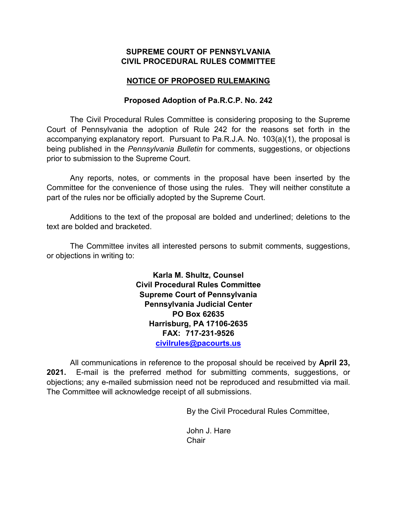## **SUPREME COURT OF PENNSYLVANIA CIVIL PROCEDURAL RULES COMMITTEE**

# **NOTICE OF PROPOSED RULEMAKING**

## **Proposed Adoption of Pa.R.C.P. No. 242**

The Civil Procedural Rules Committee is considering proposing to the Supreme Court of Pennsylvania the adoption of Rule 242 for the reasons set forth in the accompanying explanatory report. Pursuant to Pa.R.J.A. No. 103(a)(1), the proposal is being published in the *Pennsylvania Bulletin* for comments, suggestions, or objections prior to submission to the Supreme Court.

Any reports, notes, or comments in the proposal have been inserted by the Committee for the convenience of those using the rules. They will neither constitute a part of the rules nor be officially adopted by the Supreme Court.

Additions to the text of the proposal are bolded and underlined; deletions to the text are bolded and bracketed.

The Committee invites all interested persons to submit comments, suggestions, or objections in writing to:

> **Karla M. Shultz, Counsel Civil Procedural Rules Committee Supreme Court of Pennsylvania Pennsylvania Judicial Center PO Box 62635 Harrisburg, PA 17106-2635 FAX: 717-231-9526 [civilrules@pacourts.us](mailto:civilrules@pacourts.us)**

All communications in reference to the proposal should be received by **April 23, 2021.** E-mail is the preferred method for submitting comments, suggestions, or objections; any e-mailed submission need not be reproduced and resubmitted via mail. The Committee will acknowledge receipt of all submissions.

By the Civil Procedural Rules Committee,

John J. Hare **Chair**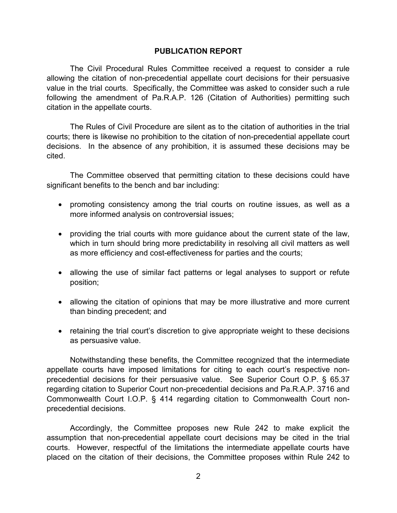#### **PUBLICATION REPORT**

The Civil Procedural Rules Committee received a request to consider a rule allowing the citation of non-precedential appellate court decisions for their persuasive value in the trial courts. Specifically, the Committee was asked to consider such a rule following the amendment of Pa.R.A.P. 126 (Citation of Authorities) permitting such citation in the appellate courts.

The Rules of Civil Procedure are silent as to the citation of authorities in the trial courts; there is likewise no prohibition to the citation of non-precedential appellate court decisions. In the absence of any prohibition, it is assumed these decisions may be cited.

The Committee observed that permitting citation to these decisions could have significant benefits to the bench and bar including:

- promoting consistency among the trial courts on routine issues, as well as a more informed analysis on controversial issues;
- providing the trial courts with more guidance about the current state of the law, which in turn should bring more predictability in resolving all civil matters as well as more efficiency and cost-effectiveness for parties and the courts;
- allowing the use of similar fact patterns or legal analyses to support or refute position;
- allowing the citation of opinions that may be more illustrative and more current than binding precedent; and
- retaining the trial court's discretion to give appropriate weight to these decisions as persuasive value.

Notwithstanding these benefits, the Committee recognized that the intermediate appellate courts have imposed limitations for citing to each court's respective nonprecedential decisions for their persuasive value. See Superior Court O.P. § 65.37 regarding citation to Superior Court non-precedential decisions and Pa.R.A.P. 3716 and Commonwealth Court I.O.P. § 414 regarding citation to Commonwealth Court nonprecedential decisions.

Accordingly, the Committee proposes new Rule 242 to make explicit the assumption that non-precedential appellate court decisions may be cited in the trial courts. However, respectful of the limitations the intermediate appellate courts have placed on the citation of their decisions, the Committee proposes within Rule 242 to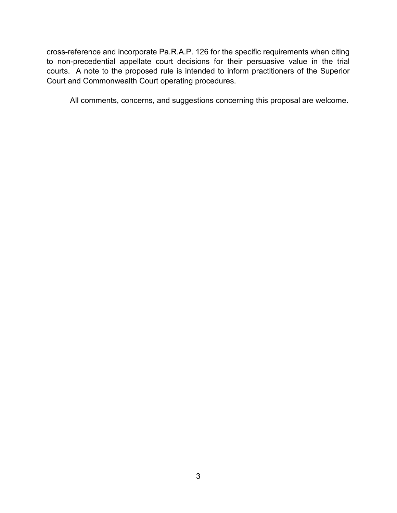cross-reference and incorporate Pa.R.A.P. 126 for the specific requirements when citing to non-precedential appellate court decisions for their persuasive value in the trial courts. A note to the proposed rule is intended to inform practitioners of the Superior Court and Commonwealth Court operating procedures.

All comments, concerns, and suggestions concerning this proposal are welcome.